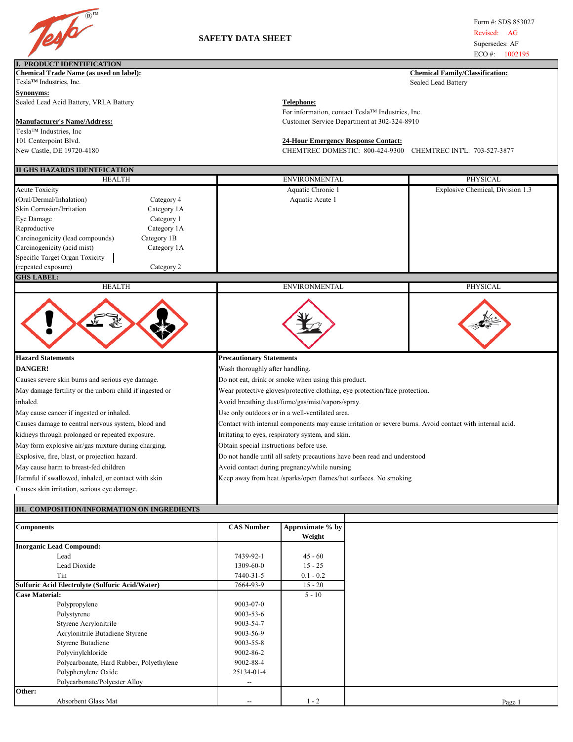

## **SAFETY DATA SHEET**

Form #: SDS 853027 Revised: AG Supersedes: AF  $ECO \#$ : 1002195

ı,

| <b>I. PRODUCT IDENTIFICATION</b>                                               |                                                                                                          |                                                                      |
|--------------------------------------------------------------------------------|----------------------------------------------------------------------------------------------------------|----------------------------------------------------------------------|
| Chemical Trade Name (as used on label):<br>Tesla™ Industries, Inc.             |                                                                                                          | <b>Chemical Family/Classification:</b><br><b>Sealed Lead Battery</b> |
|                                                                                |                                                                                                          |                                                                      |
| <b>Synonyms:</b><br>Sealed Lead Acid Battery, VRLA Battery                     |                                                                                                          |                                                                      |
|                                                                                | <b>Telephone:</b><br>For information, contact Tesla™ Industries, Inc.                                    |                                                                      |
| <b>Manufacturer's Name/Address:</b>                                            | Customer Service Department at 302-324-8910                                                              |                                                                      |
| Tesla™ Industries, Inc                                                         |                                                                                                          |                                                                      |
| 101 Centerpoint Blvd.                                                          | <b>24-Hour Emergency Response Contact:</b>                                                               |                                                                      |
| New Castle, DE 19720-4180                                                      | CHEMTREC DOMESTIC: 800-424-9300                                                                          | CHEMTREC INT'L: 703-527-3877                                         |
|                                                                                |                                                                                                          |                                                                      |
| II GHS HAZARDS IDENTFICATION                                                   |                                                                                                          |                                                                      |
| <b>HEALTH</b>                                                                  | <b>ENVIRONMENTAL</b>                                                                                     | PHYSICAL                                                             |
| <b>Acute Toxicity</b>                                                          | Aquatic Chronic 1                                                                                        | Explosive Chemical, Division 1.3                                     |
| (Oral/Dermal/Inhalation)<br>Category 4                                         | Aquatic Acute 1                                                                                          |                                                                      |
| Skin Corrosion/Irritation<br>Category 1A                                       |                                                                                                          |                                                                      |
| Eye Damage<br>Category 1                                                       |                                                                                                          |                                                                      |
| Reproductive<br>Category 1A                                                    |                                                                                                          |                                                                      |
| Carcinogenicity (lead compounds)<br>Carcinogenicity (acid mist)<br>Category 1B |                                                                                                          |                                                                      |
| Category 1A                                                                    |                                                                                                          |                                                                      |
| Specific Target Organ Toxicity<br>(repeated exposure)                          |                                                                                                          |                                                                      |
| Category 2                                                                     |                                                                                                          |                                                                      |
| <b>GHS LABEL:</b><br><b>HEALTH</b>                                             | <b>ENVIRONMENTAL</b>                                                                                     | <b>PHYSICAL</b>                                                      |
|                                                                                |                                                                                                          |                                                                      |
|                                                                                |                                                                                                          |                                                                      |
| <b>Hazard Statements</b>                                                       | <b>Precautionary Statements</b>                                                                          |                                                                      |
| <b>DANGER!</b>                                                                 | Wash thoroughly after handling.                                                                          |                                                                      |
| Causes severe skin burns and serious eye damage.                               | Do not eat, drink or smoke when using this product.                                                      |                                                                      |
| May damage fertility or the unborn child if ingested or                        | Wear protective gloves/protective clothing, eye protection/face protection.                              |                                                                      |
| inhaled.                                                                       | Avoid breathing dust/fume/gas/mist/vapors/spray.                                                         |                                                                      |
| May cause cancer if ingested or inhaled.                                       | Use only outdoors or in a well-ventilated area.                                                          |                                                                      |
| Causes damage to central nervous system, blood and                             | Contact with internal components may cause irritation or severe burns. Avoid contact with internal acid. |                                                                      |
| kidneys through prolonged or repeated exposure.                                | Irritating to eyes, respiratory system, and skin.                                                        |                                                                      |
| May form explosive air/gas mixture during charging.                            | Obtain special instructions before use.                                                                  |                                                                      |
| Explosive, fire, blast, or projection hazard.                                  | Do not handle until all safety precautions have been read and understood                                 |                                                                      |
| May cause harm to breast-fed children                                          | Avoid contact during pregnancy/while nursing                                                             |                                                                      |
| Harmful if swallowed, inhaled, or contact with skin                            | Keep away from heat./sparks/open flames/hot surfaces. No smoking                                         |                                                                      |
| Causes skin irritation, serious eye damage.                                    |                                                                                                          |                                                                      |
|                                                                                |                                                                                                          |                                                                      |
| III. COMPOSITION/INFORMATION ON INGREDIENTS                                    |                                                                                                          |                                                                      |
|                                                                                |                                                                                                          |                                                                      |
| Componente                                                                     | $CAS$ Number Approvimate $\%$ by                                                                         |                                                                      |

| <b>Components</b>                               | <b>CAS Number</b> | Approximate % by |
|-------------------------------------------------|-------------------|------------------|
|                                                 |                   | Weight           |
| <b>Inorganic Lead Compound:</b>                 |                   |                  |
| Lead                                            | 7439-92-1         | $45 - 60$        |
| Lead Dioxide                                    | 1309-60-0         | $15 - 25$        |
| Tin                                             | 7440-31-5         | $0.1 - 0.2$      |
| Sulfuric Acid Electrolyte (Sulfuric Acid/Water) | 7664-93-9         | $15 - 20$        |
| <b>Case Material:</b>                           |                   | $5 - 10$         |
| Polypropylene                                   | $9003 - 07 - 0$   |                  |
| Polystyrene                                     | 9003-53-6         |                  |
| Styrene Acrylonitrile                           | 9003-54-7         |                  |
| Acrylonitrile Butadiene Styrene                 | 9003-56-9         |                  |
| Styrene Butadiene                               | $9003 - 55 - 8$   |                  |
| Polyvinylchloride                               | 9002-86-2         |                  |
| Polycarbonate, Hard Rubber, Polyethylene        | 9002-88-4         |                  |
| Polyphenylene Oxide                             | 25134-01-4        |                  |
| Polycarbonate/Polyester Alloy                   | --                |                  |
| Other:                                          |                   |                  |
| Absorbent Glass Mat                             |                   | $1 - 2$          |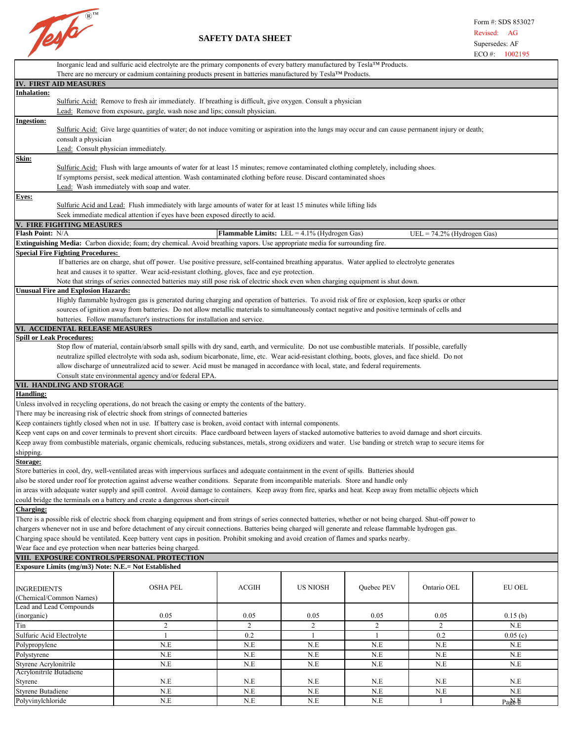

## **SAFETY DATA SHEET**

| Inorganic lead and sulfuric acid electrolyte are the primary components of every battery manufactured by Tesla™ Products. |                                                                                                                                                                                                                                                                                                                                |                                                       |                 |              |                            |               |
|---------------------------------------------------------------------------------------------------------------------------|--------------------------------------------------------------------------------------------------------------------------------------------------------------------------------------------------------------------------------------------------------------------------------------------------------------------------------|-------------------------------------------------------|-----------------|--------------|----------------------------|---------------|
|                                                                                                                           | There are no mercury or cadmium containing products present in batteries manufactured by Tesla™ Products.                                                                                                                                                                                                                      |                                                       |                 |              |                            |               |
| IV. FIRST AID MEASURES                                                                                                    |                                                                                                                                                                                                                                                                                                                                |                                                       |                 |              |                            |               |
| Inhalation:                                                                                                               | Sulfuric Acid: Remove to fresh air immediately. If breathing is difficult, give oxygen. Consult a physician                                                                                                                                                                                                                    |                                                       |                 |              |                            |               |
|                                                                                                                           | Lead: Remove from exposure, gargle, wash nose and lips; consult physician.                                                                                                                                                                                                                                                     |                                                       |                 |              |                            |               |
| <b>Ingestion:</b>                                                                                                         |                                                                                                                                                                                                                                                                                                                                |                                                       |                 |              |                            |               |
|                                                                                                                           | Sulfuric Acid: Give large quantities of water; do not induce vomiting or aspiration into the lungs may occur and can cause permanent injury or death;                                                                                                                                                                          |                                                       |                 |              |                            |               |
| consult a physician                                                                                                       |                                                                                                                                                                                                                                                                                                                                |                                                       |                 |              |                            |               |
|                                                                                                                           | Lead: Consult physician immediately.                                                                                                                                                                                                                                                                                           |                                                       |                 |              |                            |               |
| <u>Skin:</u>                                                                                                              |                                                                                                                                                                                                                                                                                                                                |                                                       |                 |              |                            |               |
|                                                                                                                           | Sulfuric Acid: Flush with large amounts of water for at least 15 minutes; remove contaminated clothing completely, including shoes.                                                                                                                                                                                            |                                                       |                 |              |                            |               |
|                                                                                                                           | If symptoms persist, seek medical attention. Wash contaminated clothing before reuse. Discard contaminated shoes                                                                                                                                                                                                               |                                                       |                 |              |                            |               |
|                                                                                                                           | Lead: Wash immediately with soap and water.                                                                                                                                                                                                                                                                                    |                                                       |                 |              |                            |               |
| <b>Eyes:</b>                                                                                                              |                                                                                                                                                                                                                                                                                                                                |                                                       |                 |              |                            |               |
|                                                                                                                           | Sulfuric Acid and Lead: Flush immediately with large amounts of water for at least 15 minutes while lifting lids                                                                                                                                                                                                               |                                                       |                 |              |                            |               |
|                                                                                                                           | Seek immediate medical attention if eyes have been exposed directly to acid.                                                                                                                                                                                                                                                   |                                                       |                 |              |                            |               |
| V. FIRE FIGHTING MEASURES<br>Flash Point: N/A                                                                             |                                                                                                                                                                                                                                                                                                                                | <b>Flammable Limits:</b> LEL = $4.1\%$ (Hydrogen Gas) |                 |              |                            |               |
|                                                                                                                           | Extinguishing Media: Carbon dioxide; foam; dry chemical. Avoid breathing vapors. Use appropriate media for surrounding fire.                                                                                                                                                                                                   |                                                       |                 |              | UEL = 74.2% (Hydrogen Gas) |               |
| <b>Special Fire Fighting Procedures:</b>                                                                                  |                                                                                                                                                                                                                                                                                                                                |                                                       |                 |              |                            |               |
|                                                                                                                           | If batteries are on charge, shut off power. Use positive pressure, self-contained breathing apparatus. Water applied to electrolyte generates                                                                                                                                                                                  |                                                       |                 |              |                            |               |
|                                                                                                                           | heat and causes it to spatter. Wear acid-resistant clothing, gloves, face and eye protection.                                                                                                                                                                                                                                  |                                                       |                 |              |                            |               |
|                                                                                                                           | Note that strings of series connected batteries may still pose risk of electric shock even when charging equipment is shut down.                                                                                                                                                                                               |                                                       |                 |              |                            |               |
| <b>Unusual Fire and Explosion Hazards:</b>                                                                                |                                                                                                                                                                                                                                                                                                                                |                                                       |                 |              |                            |               |
|                                                                                                                           | Highly flammable hydrogen gas is generated during charging and operation of batteries. To avoid risk of fire or explosion, keep sparks or other                                                                                                                                                                                |                                                       |                 |              |                            |               |
|                                                                                                                           | sources of ignition away from batteries. Do not allow metallic materials to simultaneously contact negative and positive terminals of cells and                                                                                                                                                                                |                                                       |                 |              |                            |               |
|                                                                                                                           | batteries. Follow manufacturer's instructions for installation and service.                                                                                                                                                                                                                                                    |                                                       |                 |              |                            |               |
| VI. ACCIDENTAL RELEASE MEASURES                                                                                           |                                                                                                                                                                                                                                                                                                                                |                                                       |                 |              |                            |               |
| <b>Spill or Leak Procedures:</b>                                                                                          |                                                                                                                                                                                                                                                                                                                                |                                                       |                 |              |                            |               |
|                                                                                                                           | Stop flow of material, contain/absorb small spills with dry sand, earth, and vermiculite. Do not use combustible materials. If possible, carefully                                                                                                                                                                             |                                                       |                 |              |                            |               |
|                                                                                                                           | neutralize spilled electrolyte with soda ash, sodium bicarbonate, lime, etc. Wear acid-resistant clothing, boots, gloves, and face shield. Do not                                                                                                                                                                              |                                                       |                 |              |                            |               |
|                                                                                                                           | allow discharge of unneutralized acid to sewer. Acid must be managed in accordance with local, state, and federal requirements.<br>Consult state environmental agency and/or federal EPA.                                                                                                                                      |                                                       |                 |              |                            |               |
| VII. HANDLING AND STORAGE                                                                                                 |                                                                                                                                                                                                                                                                                                                                |                                                       |                 |              |                            |               |
| <b>Handling:</b>                                                                                                          |                                                                                                                                                                                                                                                                                                                                |                                                       |                 |              |                            |               |
|                                                                                                                           | Unless involved in recycling operations, do not breach the casing or empty the contents of the battery.                                                                                                                                                                                                                        |                                                       |                 |              |                            |               |
|                                                                                                                           | There may be increasing risk of electric shock from strings of connected batteries                                                                                                                                                                                                                                             |                                                       |                 |              |                            |               |
|                                                                                                                           | Keep containers tightly closed when not in use. If battery case is broken, avoid contact with internal components.                                                                                                                                                                                                             |                                                       |                 |              |                            |               |
|                                                                                                                           | Keep vent caps on and cover terminals to prevent short circuits. Place cardboard between layers of stacked automotive batteries to avoid damage and short circuits.                                                                                                                                                            |                                                       |                 |              |                            |               |
|                                                                                                                           | Keep away from combustible materials, organic chemicals, reducing substances, metals, strong oxidizers and water. Use banding or stretch wrap to secure items for                                                                                                                                                              |                                                       |                 |              |                            |               |
| shipping.                                                                                                                 |                                                                                                                                                                                                                                                                                                                                |                                                       |                 |              |                            |               |
| Storage:                                                                                                                  |                                                                                                                                                                                                                                                                                                                                |                                                       |                 |              |                            |               |
|                                                                                                                           | Store batteries in cool, dry, well-ventilated areas with impervious surfaces and adequate containment in the event of spills. Batteries should                                                                                                                                                                                 |                                                       |                 |              |                            |               |
|                                                                                                                           | also be stored under roof for protection against adverse weather conditions. Separate from incompatible materials. Store and handle only                                                                                                                                                                                       |                                                       |                 |              |                            |               |
|                                                                                                                           | in areas with adequate water supply and spill control. Avoid damage to containers. Keep away from fire, sparks and heat. Keep away from metallic objects which                                                                                                                                                                 |                                                       |                 |              |                            |               |
|                                                                                                                           | could bridge the terminals on a battery and create a dangerous short-circuit                                                                                                                                                                                                                                                   |                                                       |                 |              |                            |               |
| <b>Charging:</b>                                                                                                          |                                                                                                                                                                                                                                                                                                                                |                                                       |                 |              |                            |               |
|                                                                                                                           | There is a possible risk of electric shock from charging equipment and from strings of series connected batteries, whether or not being charged. Shut-off power to<br>chargers whenever not in use and before detachment of any circuit connections. Batteries being charged will generate and release flammable hydrogen gas. |                                                       |                 |              |                            |               |
|                                                                                                                           | Charging space should be ventilated. Keep battery vent caps in position. Prohibit smoking and avoid creation of flames and sparks nearby.                                                                                                                                                                                      |                                                       |                 |              |                            |               |
| Wear face and eye protection when near batteries being charged.                                                           |                                                                                                                                                                                                                                                                                                                                |                                                       |                 |              |                            |               |
| VIII. EXPOSURE CONTROLS/PERSONAL PROTECTION                                                                               |                                                                                                                                                                                                                                                                                                                                |                                                       |                 |              |                            |               |
| Exposure Limits (mg/m3) Note: N.E.= Not Established                                                                       |                                                                                                                                                                                                                                                                                                                                |                                                       |                 |              |                            |               |
|                                                                                                                           |                                                                                                                                                                                                                                                                                                                                |                                                       |                 |              |                            |               |
| <b>INGREDIENTS</b>                                                                                                        | <b>OSHA PEL</b>                                                                                                                                                                                                                                                                                                                | ACGIH                                                 | <b>US NIOSH</b> | Quebec PEV   | Ontario OEL                | <b>EU OEL</b> |
| (Chemical/Common Names)                                                                                                   |                                                                                                                                                                                                                                                                                                                                |                                                       |                 |              |                            |               |
| Lead and Lead Compounds                                                                                                   |                                                                                                                                                                                                                                                                                                                                |                                                       |                 |              |                            |               |
| (inorganic)                                                                                                               | 0.05                                                                                                                                                                                                                                                                                                                           | 0.05                                                  | 0.05            | 0.05         | 0.05                       | 0.15(b)       |
| Tin                                                                                                                       | 2                                                                                                                                                                                                                                                                                                                              | $\overline{2}$                                        | $\overline{2}$  | 2            | 2                          | N.E           |
| Sulfuric Acid Electrolyte                                                                                                 | $\mathbf{1}$                                                                                                                                                                                                                                                                                                                   | 0.2                                                   | $\mathbf{1}$    | $\mathbf{1}$ | 0.2                        | 0.05(c)       |
| Polypropylene                                                                                                             | N.E                                                                                                                                                                                                                                                                                                                            | N.E                                                   | N.E             | N.E          | N.E                        | N.E           |
| Polystyrene                                                                                                               | N.E                                                                                                                                                                                                                                                                                                                            | N.E                                                   | N.E             | N.E          | N.E                        | N.E           |
| Styrene Acrylonitrile                                                                                                     | N.E                                                                                                                                                                                                                                                                                                                            | N.E                                                   | N.E             | N.E          | N.E                        | N.E           |
| Acrylonitrile Butadiene                                                                                                   |                                                                                                                                                                                                                                                                                                                                |                                                       |                 |              |                            |               |
| Styrene<br><b>Styrene Butadiene</b>                                                                                       | N.E<br>N.E                                                                                                                                                                                                                                                                                                                     | N.E<br>N.E                                            | N.E<br>N.E      | N.E<br>N.E   | N.E<br>N.E                 | N.E<br>N.E    |
| Polyvinylchloride                                                                                                         | N.E                                                                                                                                                                                                                                                                                                                            | N.E                                                   | N.E             | N.E          | $\mathbf{1}$               |               |
|                                                                                                                           |                                                                                                                                                                                                                                                                                                                                |                                                       |                 |              |                            | PaB. E        |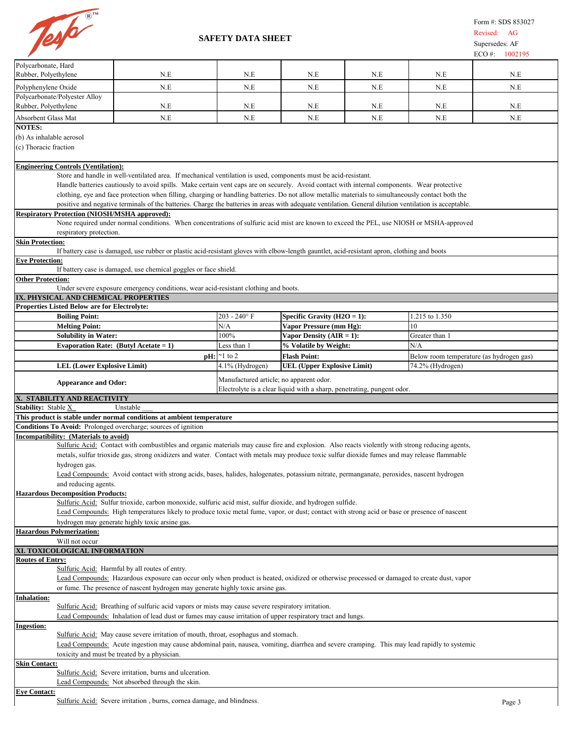

|                                                                                                                                         |                                                                                                                                                                                                                                                                                                                                                                                                                                                                                                                                                                                                                                                                                                                             |                                         |                                                                        |     |                                          | $ECO \#$ :<br>1002195 |
|-----------------------------------------------------------------------------------------------------------------------------------------|-----------------------------------------------------------------------------------------------------------------------------------------------------------------------------------------------------------------------------------------------------------------------------------------------------------------------------------------------------------------------------------------------------------------------------------------------------------------------------------------------------------------------------------------------------------------------------------------------------------------------------------------------------------------------------------------------------------------------------|-----------------------------------------|------------------------------------------------------------------------|-----|------------------------------------------|-----------------------|
| Polycarbonate, Hard<br>Rubber, Polyethylene                                                                                             | N.E                                                                                                                                                                                                                                                                                                                                                                                                                                                                                                                                                                                                                                                                                                                         | N.E                                     | N.E                                                                    | N.E | N.E                                      | N.E                   |
| Polyphenylene Oxide                                                                                                                     | N.E                                                                                                                                                                                                                                                                                                                                                                                                                                                                                                                                                                                                                                                                                                                         | N.E                                     | N.E                                                                    | N.E | N.E                                      | N.E                   |
| Polycarbonate/Polyester Alloy<br>Rubber, Polyethylene                                                                                   | N.E                                                                                                                                                                                                                                                                                                                                                                                                                                                                                                                                                                                                                                                                                                                         | N.E                                     | N.E                                                                    | N.E | N.E                                      | N.E                   |
| Absorbent Glass Mat                                                                                                                     | N.E                                                                                                                                                                                                                                                                                                                                                                                                                                                                                                                                                                                                                                                                                                                         | N.E                                     | N.E                                                                    | N.E | N.E                                      | N.E                   |
| <b>NOTES:</b><br>(b) As inhalable aerosol<br>(c) Thoracic fraction                                                                      |                                                                                                                                                                                                                                                                                                                                                                                                                                                                                                                                                                                                                                                                                                                             |                                         |                                                                        |     |                                          |                       |
|                                                                                                                                         |                                                                                                                                                                                                                                                                                                                                                                                                                                                                                                                                                                                                                                                                                                                             |                                         |                                                                        |     |                                          |                       |
| <b>Engineering Controls (Ventilation):</b><br><b>Respiratory Protection (NIOSH/MSHA approved):</b>                                      | Store and handle in well-ventilated area. If mechanical ventilation is used, components must be acid-resistant.<br>Handle batteries cautiously to avoid spills. Make certain vent caps are on securely. Avoid contact with internal components. Wear protective<br>clothing, eye and face protection when filling, charging or handling batteries. Do not allow metallic materials to simultaneously contact both the<br>positive and negative terminals of the batteries. Charge the batteries in areas with adequate ventilation. General dilution ventilation is acceptable.<br>None required under normal conditions. When concentrations of sulfuric acid mist are known to exceed the PEL, use NIOSH or MSHA-approved |                                         |                                                                        |     |                                          |                       |
| respiratory protection.<br><b>Skin Protection:</b>                                                                                      |                                                                                                                                                                                                                                                                                                                                                                                                                                                                                                                                                                                                                                                                                                                             |                                         |                                                                        |     |                                          |                       |
|                                                                                                                                         | If battery case is damaged, use rubber or plastic acid-resistant gloves with elbow-length gauntlet, acid-resistant apron, clothing and boots                                                                                                                                                                                                                                                                                                                                                                                                                                                                                                                                                                                |                                         |                                                                        |     |                                          |                       |
| <b>Eye Protection:</b>                                                                                                                  | If battery case is damaged, use chemical goggles or face shield.                                                                                                                                                                                                                                                                                                                                                                                                                                                                                                                                                                                                                                                            |                                         |                                                                        |     |                                          |                       |
| <b>Other Protection:</b>                                                                                                                |                                                                                                                                                                                                                                                                                                                                                                                                                                                                                                                                                                                                                                                                                                                             |                                         |                                                                        |     |                                          |                       |
| IX. PHYSICAL AND CHEMICAL PROPERTIES                                                                                                    | Under severe exposure emergency conditions, wear acid-resistant clothing and boots.                                                                                                                                                                                                                                                                                                                                                                                                                                                                                                                                                                                                                                         |                                         |                                                                        |     |                                          |                       |
| <b>Properties Listed Below are for Electrolyte:</b>                                                                                     |                                                                                                                                                                                                                                                                                                                                                                                                                                                                                                                                                                                                                                                                                                                             |                                         |                                                                        |     |                                          |                       |
| <b>Boiling Point:</b>                                                                                                                   |                                                                                                                                                                                                                                                                                                                                                                                                                                                                                                                                                                                                                                                                                                                             | $203 - 240$ °F                          | Specific Gravity ( $H2O = 1$ ):                                        |     | 1.215 to 1.350                           |                       |
| <b>Melting Point:</b>                                                                                                                   |                                                                                                                                                                                                                                                                                                                                                                                                                                                                                                                                                                                                                                                                                                                             | N/A                                     | Vapor Pressure (mm Hg):                                                |     | 10                                       |                       |
| <b>Solubility in Water:</b><br>Evaporation Rate: (Butyl Acetate = $1$ )                                                                 |                                                                                                                                                                                                                                                                                                                                                                                                                                                                                                                                                                                                                                                                                                                             | 100%<br>Less than 1                     | Vapor Density $(AIR = 1)$ :<br>% Volatile by Weight:                   |     | Greater than 1<br>N/A                    |                       |
|                                                                                                                                         |                                                                                                                                                                                                                                                                                                                                                                                                                                                                                                                                                                                                                                                                                                                             | $\mathbf{p}$ H: $\approx$ 1 to 2        | <b>Flash Point:</b>                                                    |     | Below room temperature (as hydrogen gas) |                       |
| <b>LEL (Lower Explosive Limit)</b>                                                                                                      |                                                                                                                                                                                                                                                                                                                                                                                                                                                                                                                                                                                                                                                                                                                             | 4.1% (Hydrogen)                         | <b>UEL (Upper Explosive Limit)</b>                                     |     | 74.2% (Hydrogen)                         |                       |
| <b>Appearance and Odor:</b>                                                                                                             |                                                                                                                                                                                                                                                                                                                                                                                                                                                                                                                                                                                                                                                                                                                             | Manufactured article; no apparent odor. | Electrolyte is a clear liquid with a sharp, penetrating, pungent odor. |     |                                          |                       |
| X. STABILITY AND REACTIVITY                                                                                                             |                                                                                                                                                                                                                                                                                                                                                                                                                                                                                                                                                                                                                                                                                                                             |                                         |                                                                        |     |                                          |                       |
| Stability: Stable X                                                                                                                     | Unstable                                                                                                                                                                                                                                                                                                                                                                                                                                                                                                                                                                                                                                                                                                                    |                                         |                                                                        |     |                                          |                       |
| This product is stable under normal conditions at ambient temperature<br>Conditions To Avoid: Prolonged overcharge; sources of ignition |                                                                                                                                                                                                                                                                                                                                                                                                                                                                                                                                                                                                                                                                                                                             |                                         |                                                                        |     |                                          |                       |
| Incompatibility: (Materials to avoid)                                                                                                   | Sulfuric Acid: Contact with combustibles and organic materials may cause fire and explosion. Also reacts violently with strong reducing agents,                                                                                                                                                                                                                                                                                                                                                                                                                                                                                                                                                                             |                                         |                                                                        |     |                                          |                       |
| hydrogen gas.                                                                                                                           | metals, sulfur trioxide gas, strong oxidizers and water. Contact with metals may produce toxic sulfur dioxide fumes and may release flammable<br>Lead Compounds: Avoid contact with strong acids, bases, halides, halogenates, potassium nitrate, permanganate, peroxides, nascent hydrogen                                                                                                                                                                                                                                                                                                                                                                                                                                 |                                         |                                                                        |     |                                          |                       |
| and reducing agents.                                                                                                                    |                                                                                                                                                                                                                                                                                                                                                                                                                                                                                                                                                                                                                                                                                                                             |                                         |                                                                        |     |                                          |                       |
| <b>Hazardous Decomposition Products:</b>                                                                                                | Sulfuric Acid: Sulfur trioxide, carbon monoxide, sulfuric acid mist, sulfur dioxide, and hydrogen sulfide.<br>Lead Compounds: High temperatures likely to produce toxic metal fume, vapor, or dust; contact with strong acid or base or presence of nascent                                                                                                                                                                                                                                                                                                                                                                                                                                                                 |                                         |                                                                        |     |                                          |                       |
|                                                                                                                                         | hydrogen may generate highly toxic arsine gas.                                                                                                                                                                                                                                                                                                                                                                                                                                                                                                                                                                                                                                                                              |                                         |                                                                        |     |                                          |                       |
| Hazardous Polymerization:                                                                                                               |                                                                                                                                                                                                                                                                                                                                                                                                                                                                                                                                                                                                                                                                                                                             |                                         |                                                                        |     |                                          |                       |
| Will not occur<br>XI. TOXICOLOGICAL INFORMATION                                                                                         |                                                                                                                                                                                                                                                                                                                                                                                                                                                                                                                                                                                                                                                                                                                             |                                         |                                                                        |     |                                          |                       |
| <b>Routes of Entry:</b>                                                                                                                 |                                                                                                                                                                                                                                                                                                                                                                                                                                                                                                                                                                                                                                                                                                                             |                                         |                                                                        |     |                                          |                       |
|                                                                                                                                         | Sulfuric Acid: Harmful by all routes of entry.<br>Lead Compounds: Hazardous exposure can occur only when product is heated, oxidized or otherwise processed or damaged to create dust, vapor                                                                                                                                                                                                                                                                                                                                                                                                                                                                                                                                |                                         |                                                                        |     |                                          |                       |
|                                                                                                                                         | or fume. The presence of nascent hydrogen may generate highly toxic arsine gas.                                                                                                                                                                                                                                                                                                                                                                                                                                                                                                                                                                                                                                             |                                         |                                                                        |     |                                          |                       |
| Inhalation:                                                                                                                             | Sulfuric Acid: Breathing of sulfuric acid vapors or mists may cause severe respiratory irritation.                                                                                                                                                                                                                                                                                                                                                                                                                                                                                                                                                                                                                          |                                         |                                                                        |     |                                          |                       |
| <b>Ingestion:</b>                                                                                                                       | Lead Compounds: Inhalation of lead dust or fumes may cause irritation of upper respiratory tract and lungs.                                                                                                                                                                                                                                                                                                                                                                                                                                                                                                                                                                                                                 |                                         |                                                                        |     |                                          |                       |
|                                                                                                                                         | Sulfuric Acid: May cause severe irritation of mouth, throat, esophagus and stomach.<br>Lead Compounds: Acute ingestion may cause abdominal pain, nausea, vomiting, diarrhea and severe cramping. This may lead rapidly to systemic                                                                                                                                                                                                                                                                                                                                                                                                                                                                                          |                                         |                                                                        |     |                                          |                       |
| <b>Skin Contact:</b>                                                                                                                    | toxicity and must be treated by a physician.                                                                                                                                                                                                                                                                                                                                                                                                                                                                                                                                                                                                                                                                                |                                         |                                                                        |     |                                          |                       |
|                                                                                                                                         | Sulfuric Acid: Severe irritation, burns and ulceration.<br>Lead Compounds: Not absorbed through the skin.                                                                                                                                                                                                                                                                                                                                                                                                                                                                                                                                                                                                                   |                                         |                                                                        |     |                                          |                       |
| <b>Eye Contact:</b><br>Sulfuric Acid: Severe irritation, burns, cornea damage, and blindness.                                           |                                                                                                                                                                                                                                                                                                                                                                                                                                                                                                                                                                                                                                                                                                                             |                                         |                                                                        |     | Page 3                                   |                       |

## <u>Contact:</u>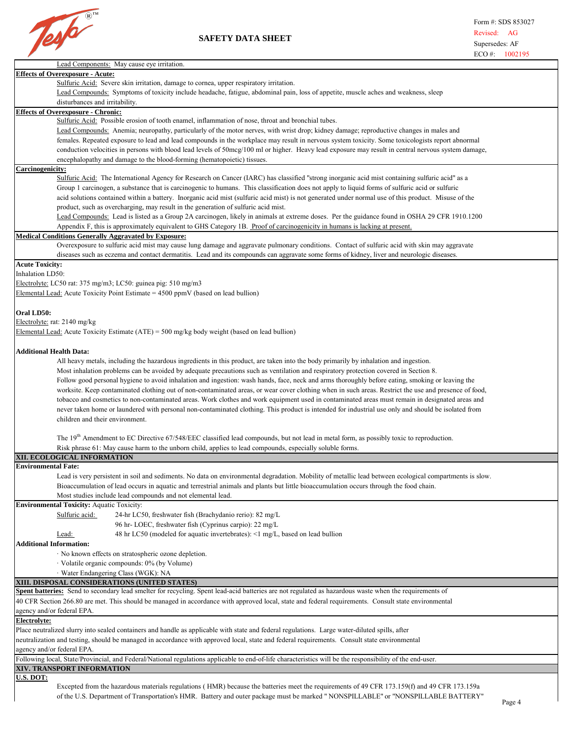

|                                                                                                                                                           | LU +.<br>1002173 |
|-----------------------------------------------------------------------------------------------------------------------------------------------------------|------------------|
| Lead Components: May cause eye irritation.                                                                                                                |                  |
| <b>Effects of Overexposure - Acute:</b>                                                                                                                   |                  |
| Sulfuric Acid: Severe skin irritation, damage to cornea, upper respiratory irritation.                                                                    |                  |
| Lead Compounds: Symptoms of toxicity include headache, fatigue, abdominal pain, loss of appetite, muscle aches and weakness, sleep                        |                  |
| disturbances and irritability.                                                                                                                            |                  |
| <b>Effects of Overexposure - Chronic:</b>                                                                                                                 |                  |
| Sulfuric Acid: Possible erosion of tooth enamel, inflammation of nose, throat and bronchial tubes.                                                        |                  |
| Lead Compounds: Anemia; neuropathy, particularly of the motor nerves, with wrist drop; kidney damage; reproductive changes in males and                   |                  |
| females. Repeated exposure to lead and lead compounds in the workplace may result in nervous system toxicity. Some toxicologists report abnormal          |                  |
| conduction velocities in persons with blood lead levels of 50mcg/100 ml or higher. Heavy lead exposure may result in central nervous system damage,       |                  |
| encephalopathy and damage to the blood-forming (hematopoietic) tissues.                                                                                   |                  |
| Carcinogenicity:                                                                                                                                          |                  |
| Sulfuric Acid: The International Agency for Research on Cancer (IARC) has classified "strong inorganic acid mist containing sulfuric acid" as a           |                  |
| Group 1 carcinogen, a substance that is carcinogenic to humans. This classification does not apply to liquid forms of sulfuric acid or sulfuric           |                  |
| acid solutions contained within a battery. Inorganic acid mist (sulfuric acid mist) is not generated under normal use of this product. Misuse of the      |                  |
| product, such as overcharging, may result in the generation of sulfuric acid mist.                                                                        |                  |
| Lead Compounds: Lead is listed as a Group 2A carcinogen, likely in animals at extreme doses. Per the guidance found in OSHA 29 CFR 1910.1200              |                  |
| Appendix F, this is approximately equivalent to GHS Category 1B. Proof of carcinogenicity in humans is lacking at present.                                |                  |
| <b>Medical Conditions Generally Aggravated by Exposure:</b>                                                                                               |                  |
| Overexposure to sulfuric acid mist may cause lung damage and aggravate pulmonary conditions. Contact of sulfuric acid with skin may aggravate             |                  |
| diseases such as eczema and contact dermatitis. Lead and its compounds can aggravate some forms of kidney, liver and neurologic diseases.                 |                  |
| <b>Acute Toxicity:</b>                                                                                                                                    |                  |
| Inhalation LD50:                                                                                                                                          |                  |
| Electrolyte: LC50 rat: 375 mg/m3; LC50: guinea pig: 510 mg/m3                                                                                             |                  |
| Elemental Lead: Acute Toxicity Point Estimate = $4500$ ppmV (based on lead bullion)                                                                       |                  |
|                                                                                                                                                           |                  |
| Oral LD50:                                                                                                                                                |                  |
| Electrolyte: rat: 2140 mg/kg                                                                                                                              |                  |
| Elemental Lead: Acute Toxicity Estimate (ATE) = 500 mg/kg body weight (based on lead bullion)                                                             |                  |
|                                                                                                                                                           |                  |
| <b>Additional Health Data:</b>                                                                                                                            |                  |
|                                                                                                                                                           |                  |
| All heavy metals, including the hazardous ingredients in this product, are taken into the body primarily by inhalation and ingestion.                     |                  |
| Most inhalation problems can be avoided by adequate precautions such as ventilation and respiratory protection covered in Section 8.                      |                  |
| Follow good personal hygiene to avoid inhalation and ingestion: wash hands, face, neck and arms thoroughly before eating, smoking or leaving the          |                  |
| worksite. Keep contaminated clothing out of non-contaminated areas, or wear cover clothing when in such areas. Restrict the use and presence of food,     |                  |
| tobacco and cosmetics to non-contaminated areas. Work clothes and work equipment used in contaminated areas must remain in designated areas and           |                  |
| never taken home or laundered with personal non-contaminated clothing. This product is intended for industrial use only and should be isolated from       |                  |
| children and their environment.                                                                                                                           |                  |
|                                                                                                                                                           |                  |
| The 19 <sup>th</sup> Amendment to EC Directive 67/548/EEC classified lead compounds, but not lead in metal form, as possibly toxic to reproduction.       |                  |
| Risk phrase 61: May cause harm to the unborn child, applies to lead compounds, especially soluble forms.                                                  |                  |
| XII. ECOLOGICAL INFORMATION                                                                                                                               |                  |
| <b>Environmental Fate:</b>                                                                                                                                |                  |
| Lead is very persistent in soil and sediments. No data on environmental degradation. Mobility of metallic lead between ecological compartments is slow.   |                  |
| Bioaccumulation of lead occurs in aquatic and terrestrial animals and plants but little bioaccumulation occurs through the food chain.                    |                  |
| Most studies include lead compounds and not elemental lead.                                                                                               |                  |
| <b>Environmental Toxicity: Aquatic Toxicity:</b>                                                                                                          |                  |
| Sulfuric acid:<br>24-hr LC50, freshwater fish (Brachydanio rerio): 82 mg/L                                                                                |                  |
| 96 hr-LOEC, freshwater fish (Cyprinus carpio): 22 mg/L                                                                                                    |                  |
| 48 hr LC50 (modeled for aquatic invertebrates): <1 mg/L, based on lead bullion<br>Lead:                                                                   |                  |
| <b>Additional Information:</b>                                                                                                                            |                  |
| · No known effects on stratospheric ozone depletion.                                                                                                      |                  |
| · Volatile organic compounds: 0% (by Volume)                                                                                                              |                  |
| · Water Endangering Class (WGK): NA                                                                                                                       |                  |
| XIII. DISPOSAL CONSIDERATIONS (UNITED STATES)                                                                                                             |                  |
| Spent batteries: Send to secondary lead smelter for recycling. Spent lead-acid batteries are not regulated as hazardous waste when the requirements of    |                  |
| 40 CFR Section 266.80 are met. This should be managed in accordance with approved local, state and federal requirements. Consult state environmental      |                  |
| agency and/or federal EPA.                                                                                                                                |                  |
| Electrolyte:                                                                                                                                              |                  |
| Place neutralized slurry into sealed containers and handle as applicable with state and federal regulations. Large water-diluted spills, after            |                  |
| neutralization and testing, should be managed in accordance with approved local, state and federal requirements. Consult state environmental              |                  |
| agency and/or federal EPA.                                                                                                                                |                  |
| Following local, State/Provincial, and Federal/National regulations applicable to end-of-life characteristics will be the responsibility of the end-user. |                  |
| XIV. TRANSPORT INFORMATION                                                                                                                                |                  |
| U.S. DOT:                                                                                                                                                 |                  |
| Excepted from the hazardous materials regulations (HMR) because the batteries meet the requirements of 49 CFR 173.159(f) and 49 CFR 173.159a              |                  |
| of the U.S. Department of Transportation's HMR. Battery and outer package must be marked "NONSPILLABLE" or "NONSPILLABLE BATTERY"                         |                  |
|                                                                                                                                                           | P <sub>000</sub> |

Excepted from the hazardous materials regulations ( HMR) because the batteries meet the requirements of 49 CFR 173.159(f) and 49 CFR 173.159a of the U.S. Department of Transportation's HMR. Battery and outer package must be marked " NONSPILLABLE" or "NONSPILLABLE BATTERY" Page 4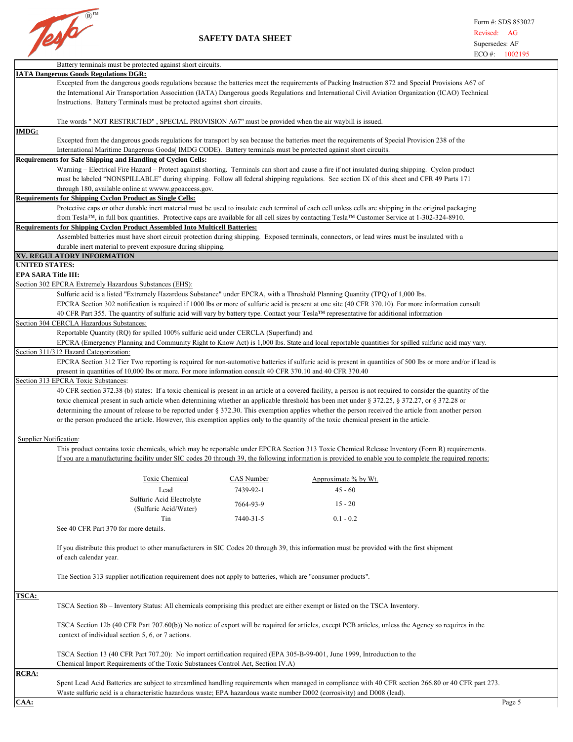

|                               | Battery terminals must be protected against short circuits.                                                                                                                                                 |            |                                                                                                                                                                                                                                                                                                                                                                                                                                                                        |  |  |  |  |
|-------------------------------|-------------------------------------------------------------------------------------------------------------------------------------------------------------------------------------------------------------|------------|------------------------------------------------------------------------------------------------------------------------------------------------------------------------------------------------------------------------------------------------------------------------------------------------------------------------------------------------------------------------------------------------------------------------------------------------------------------------|--|--|--|--|
|                               | <b>IATA Dangerous Goods Regulations DGR:</b>                                                                                                                                                                |            |                                                                                                                                                                                                                                                                                                                                                                                                                                                                        |  |  |  |  |
|                               |                                                                                                                                                                                                             |            | Excepted from the dangerous goods regulations because the batteries meet the requirements of Packing Instruction 872 and Special Provisions A67 of                                                                                                                                                                                                                                                                                                                     |  |  |  |  |
|                               | the International Air Transportation Association (IATA) Dangerous goods Regulations and International Civil Aviation Organization (ICAO) Technical                                                          |            |                                                                                                                                                                                                                                                                                                                                                                                                                                                                        |  |  |  |  |
|                               | Instructions. Battery Terminals must be protected against short circuits.                                                                                                                                   |            |                                                                                                                                                                                                                                                                                                                                                                                                                                                                        |  |  |  |  |
|                               | The words "NOT RESTRICTED", SPECIAL PROVISION A67" must be provided when the air waybill is issued.                                                                                                         |            |                                                                                                                                                                                                                                                                                                                                                                                                                                                                        |  |  |  |  |
| IMDG:                         |                                                                                                                                                                                                             |            | Excepted from the dangerous goods regulations for transport by sea because the batteries meet the requirements of Special Provision 238 of the                                                                                                                                                                                                                                                                                                                         |  |  |  |  |
|                               | International Maritime Dangerous Goods (IMDG CODE). Battery terminals must be protected against short circuits.                                                                                             |            |                                                                                                                                                                                                                                                                                                                                                                                                                                                                        |  |  |  |  |
|                               | <b>Requirements for Safe Shipping and Handling of Cyclon Cells:</b>                                                                                                                                         |            |                                                                                                                                                                                                                                                                                                                                                                                                                                                                        |  |  |  |  |
|                               |                                                                                                                                                                                                             |            | Warning – Electrical Fire Hazard – Protect against shorting. Terminals can short and cause a fire if not insulated during shipping. Cyclon product<br>must be labeled "NONSPILLABLE" during shipping. Follow all federal shipping regulations. See section IX of this sheet and CFR 49 Parts 171                                                                                                                                                                       |  |  |  |  |
|                               | through 180, available online at wwww.gpoaccess.gov.                                                                                                                                                        |            |                                                                                                                                                                                                                                                                                                                                                                                                                                                                        |  |  |  |  |
|                               | <b>Requirements for Shipping Cyclon Product as Single Cells:</b>                                                                                                                                            |            | Protective caps or other durable inert material must be used to insulate each terminal of each cell unless cells are shipping in the original packaging                                                                                                                                                                                                                                                                                                                |  |  |  |  |
|                               |                                                                                                                                                                                                             |            | from Tesla™, in full box quantities. Protective caps are available for all cell sizes by contacting Tesla™ Customer Service at 1-302-324-8910.                                                                                                                                                                                                                                                                                                                         |  |  |  |  |
|                               | <b>Requirements for Shipping Cyclon Product Assembled Into Multicell Batteries:</b>                                                                                                                         |            |                                                                                                                                                                                                                                                                                                                                                                                                                                                                        |  |  |  |  |
|                               |                                                                                                                                                                                                             |            | Assembled batteries must have short circuit protection during shipping. Exposed terminals, connectors, or lead wires must be insulated with a                                                                                                                                                                                                                                                                                                                          |  |  |  |  |
|                               | durable inert material to prevent exposure during shipping.                                                                                                                                                 |            |                                                                                                                                                                                                                                                                                                                                                                                                                                                                        |  |  |  |  |
|                               | XV. REGULATORY INFORMATION                                                                                                                                                                                  |            |                                                                                                                                                                                                                                                                                                                                                                                                                                                                        |  |  |  |  |
| UNITED STATES:                |                                                                                                                                                                                                             |            |                                                                                                                                                                                                                                                                                                                                                                                                                                                                        |  |  |  |  |
| <b>EPA SARA Title III:</b>    |                                                                                                                                                                                                             |            |                                                                                                                                                                                                                                                                                                                                                                                                                                                                        |  |  |  |  |
|                               | Section 302 EPCRA Extremely Hazardous Substances (EHS):                                                                                                                                                     |            |                                                                                                                                                                                                                                                                                                                                                                                                                                                                        |  |  |  |  |
|                               | Sulfuric acid is a listed "Extremely Hazardous Substance" under EPCRA, with a Threshold Planning Quantity (TPQ) of 1,000 lbs.                                                                               |            |                                                                                                                                                                                                                                                                                                                                                                                                                                                                        |  |  |  |  |
|                               |                                                                                                                                                                                                             |            | EPCRA Section 302 notification is required if 1000 lbs or more of sulfuric acid is present at one site (40 CFR 370.10). For more information consult                                                                                                                                                                                                                                                                                                                   |  |  |  |  |
|                               | 40 CFR Part 355. The quantity of sulfuric acid will vary by battery type. Contact your Tesla <sup>TM</sup> representative for additional information                                                        |            |                                                                                                                                                                                                                                                                                                                                                                                                                                                                        |  |  |  |  |
|                               | Section 304 CERCLA Hazardous Substances:                                                                                                                                                                    |            |                                                                                                                                                                                                                                                                                                                                                                                                                                                                        |  |  |  |  |
|                               | Reportable Quantity (RQ) for spilled 100% sulfuric acid under CERCLA (Superfund) and                                                                                                                        |            |                                                                                                                                                                                                                                                                                                                                                                                                                                                                        |  |  |  |  |
|                               |                                                                                                                                                                                                             |            | EPCRA (Emergency Planning and Community Right to Know Act) is 1,000 lbs. State and local reportable quantities for spilled sulfuric acid may vary.                                                                                                                                                                                                                                                                                                                     |  |  |  |  |
|                               | Section 311/312 Hazard Categorization:                                                                                                                                                                      |            |                                                                                                                                                                                                                                                                                                                                                                                                                                                                        |  |  |  |  |
|                               | present in quantities of 10,000 lbs or more. For more information consult 40 CFR 370.10 and 40 CFR 370.40                                                                                                   |            | EPCRA Section 312 Tier Two reporting is required for non-automotive batteries if sulfuric acid is present in quantities of 500 lbs or more and/or if lead is                                                                                                                                                                                                                                                                                                           |  |  |  |  |
|                               | Section 313 EPCRA Toxic Substances:                                                                                                                                                                         |            |                                                                                                                                                                                                                                                                                                                                                                                                                                                                        |  |  |  |  |
| <b>Supplier Notification:</b> | or the person produced the article. However, this exemption applies only to the quantity of the toxic chemical present in the article.                                                                      |            | 40 CFR section 372.38 (b) states: If a toxic chemical is present in an article at a covered facility, a person is not required to consider the quantity of the<br>toxic chemical present in such article when determining whether an applicable threshold has been met under § 372.25, § 372.27, or § 372.28 or<br>determining the amount of release to be reported under § 372.30. This exemption applies whether the person received the article from another person |  |  |  |  |
|                               |                                                                                                                                                                                                             |            | This product contains toxic chemicals, which may be reportable under EPCRA Section 313 Toxic Chemical Release Inventory (Form R) requirements.<br>If you are a manufacturing facility under SIC codes 20 through 39, the following information is provided to enable you to complete the required reports:                                                                                                                                                             |  |  |  |  |
|                               | Toxic Chemical                                                                                                                                                                                              | CAS Number | Approximate % by Wt.                                                                                                                                                                                                                                                                                                                                                                                                                                                   |  |  |  |  |
|                               | Lead                                                                                                                                                                                                        | 7439-92-1  | $45 - 60$                                                                                                                                                                                                                                                                                                                                                                                                                                                              |  |  |  |  |
|                               | Sulfuric Acid Electrolyte                                                                                                                                                                                   | 7664-93-9  | $15 - 20$                                                                                                                                                                                                                                                                                                                                                                                                                                                              |  |  |  |  |
|                               | (Sulfuric Acid/Water)<br>Tin                                                                                                                                                                                | 7440-31-5  | $0.1 - 0.2$                                                                                                                                                                                                                                                                                                                                                                                                                                                            |  |  |  |  |
|                               | See 40 CFR Part 370 for more details.                                                                                                                                                                       |            |                                                                                                                                                                                                                                                                                                                                                                                                                                                                        |  |  |  |  |
|                               | If you distribute this product to other manufacturers in SIC Codes 20 through 39, this information must be provided with the first shipment<br>of each calendar year.                                       |            |                                                                                                                                                                                                                                                                                                                                                                                                                                                                        |  |  |  |  |
|                               | The Section 313 supplier notification requirement does not apply to batteries, which are "consumer products".                                                                                               |            |                                                                                                                                                                                                                                                                                                                                                                                                                                                                        |  |  |  |  |
| <b>TSCA:</b>                  |                                                                                                                                                                                                             |            |                                                                                                                                                                                                                                                                                                                                                                                                                                                                        |  |  |  |  |
|                               | TSCA Section 8b – Inventory Status: All chemicals comprising this product are either exempt or listed on the TSCA Inventory.                                                                                |            |                                                                                                                                                                                                                                                                                                                                                                                                                                                                        |  |  |  |  |
|                               | context of individual section 5, 6, or 7 actions.                                                                                                                                                           |            | TSCA Section 12b (40 CFR Part 707.60(b)) No notice of export will be required for articles, except PCB articles, unless the Agency so requires in the                                                                                                                                                                                                                                                                                                                  |  |  |  |  |
|                               | TSCA Section 13 (40 CFR Part 707.20): No import certification required (EPA 305-B-99-001, June 1999, Introduction to the<br>Chemical Import Requirements of the Toxic Substances Control Act, Section IV.A) |            |                                                                                                                                                                                                                                                                                                                                                                                                                                                                        |  |  |  |  |
| <b>RCRA:</b>                  |                                                                                                                                                                                                             |            |                                                                                                                                                                                                                                                                                                                                                                                                                                                                        |  |  |  |  |
|                               | Waste sulfuric acid is a characteristic hazardous waste; EPA hazardous waste number D002 (corrosivity) and D008 (lead).                                                                                     |            | Spent Lead Acid Batteries are subject to streamlined handling requirements when managed in compliance with 40 CFR section 266.80 or 40 CFR part 273.                                                                                                                                                                                                                                                                                                                   |  |  |  |  |
| CAA:                          |                                                                                                                                                                                                             |            | Page 5                                                                                                                                                                                                                                                                                                                                                                                                                                                                 |  |  |  |  |
|                               |                                                                                                                                                                                                             |            |                                                                                                                                                                                                                                                                                                                                                                                                                                                                        |  |  |  |  |